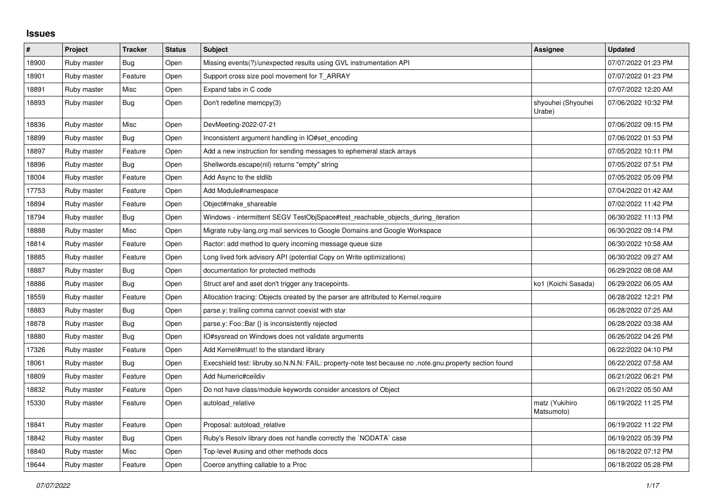## **Issues**

| $\#$  | Project     | <b>Tracker</b> | <b>Status</b> | <b>Subject</b>                                                                                                               | Assignee                     | <b>Updated</b>      |
|-------|-------------|----------------|---------------|------------------------------------------------------------------------------------------------------------------------------|------------------------------|---------------------|
| 18900 | Ruby master | Bug            | Open          | Missing events(?)/unexpected results using GVL instrumentation API                                                           |                              | 07/07/2022 01:23 PM |
| 18901 | Ruby master | Feature        | Open          | Support cross size pool movement for T_ARRAY                                                                                 |                              | 07/07/2022 01:23 PM |
| 18891 | Ruby master | Misc           | Open          | Expand tabs in C code                                                                                                        |                              | 07/07/2022 12:20 AM |
| 18893 | Ruby master | Bug            | Open          | Don't redefine memcpy(3)                                                                                                     | shyouhei (Shyouhei<br>Urabe) | 07/06/2022 10:32 PM |
| 18836 | Ruby master | Misc           | Open          | DevMeeting-2022-07-21                                                                                                        |                              | 07/06/2022 09:15 PM |
| 18899 | Ruby master | <b>Bug</b>     | Open          | Inconsistent argument handling in IO#set_encoding                                                                            |                              | 07/06/2022 01:53 PM |
| 18897 | Ruby master | Feature        | Open          | Add a new instruction for sending messages to ephemeral stack arrays                                                         |                              | 07/05/2022 10:11 PM |
| 18896 | Ruby master | Bug            | Open          | Shellwords.escape(nil) returns "empty" string                                                                                |                              | 07/05/2022 07:51 PM |
| 18004 | Ruby master | Feature        | Open          | Add Async to the stdlib                                                                                                      |                              | 07/05/2022 05:09 PM |
| 17753 | Ruby master | Feature        | Open          | Add Module#namespace                                                                                                         |                              | 07/04/2022 01:42 AM |
| 18894 | Ruby master | Feature        | Open          | Object#make_shareable                                                                                                        |                              | 07/02/2022 11:42 PM |
| 18794 | Ruby master | <b>Bug</b>     | Open          | Windows - intermittent SEGV TestObjSpace#test_reachable_objects_during_iteration                                             |                              | 06/30/2022 11:13 PM |
| 18888 | Ruby master | Misc           | Open          | Migrate ruby-lang.org mail services to Google Domains and Google Workspace                                                   |                              | 06/30/2022 09:14 PM |
| 18814 | Ruby master | Feature        | Open          | Ractor: add method to query incoming message queue size                                                                      |                              | 06/30/2022 10:58 AM |
| 18885 | Ruby master | Feature        | Open          | Long lived fork advisory API (potential Copy on Write optimizations)                                                         |                              | 06/30/2022 09:27 AM |
| 18887 | Ruby master | Bug            | Open          | documentation for protected methods                                                                                          |                              | 06/29/2022 08:08 AM |
| 18886 | Ruby master | Bug            | Open          | Struct aref and aset don't trigger any tracepoints.                                                                          | ko1 (Koichi Sasada)          | 06/29/2022 06:05 AM |
| 18559 | Ruby master | Feature        | Open          | Allocation tracing: Objects created by the parser are attributed to Kernel.require                                           |                              | 06/28/2022 12:21 PM |
| 18883 | Ruby master | <b>Bug</b>     | Open          | parse.y: trailing comma cannot coexist with star                                                                             |                              | 06/28/2022 07:25 AM |
| 18878 | Ruby master | Bug            | Open          | parse.y: Foo::Bar {} is inconsistently rejected                                                                              |                              | 06/28/2022 03:38 AM |
| 18880 | Ruby master | Bug            | Open          | IO#sysread on Windows does not validate arguments                                                                            |                              | 06/26/2022 04:26 PM |
| 17326 | Ruby master | Feature        | Open          | Add Kernel#must! to the standard library                                                                                     |                              | 06/22/2022 04:10 PM |
| 18061 | Ruby master | Bug            | Open          | note.gnu.property section found fost: libruby.so.N.N.Y: FAIL: property-note test because no .note.gnu.property section found |                              | 06/22/2022 07:58 AM |
| 18809 | Ruby master | Feature        | Open          | Add Numeric#ceildiv                                                                                                          |                              | 06/21/2022 06:21 PM |
| 18832 | Ruby master | Feature        | Open          | Do not have class/module keywords consider ancestors of Object                                                               |                              | 06/21/2022 05:50 AM |
| 15330 | Ruby master | Feature        | Open          | autoload_relative                                                                                                            | matz (Yukihiro<br>Matsumoto) | 06/19/2022 11:25 PM |
| 18841 | Ruby master | Feature        | Open          | Proposal: autoload_relative                                                                                                  |                              | 06/19/2022 11:22 PM |
| 18842 | Ruby master | Bug            | Open          | Ruby's Resolv library does not handle correctly the `NODATA` case                                                            |                              | 06/19/2022 05:39 PM |
| 18840 | Ruby master | Misc           | Open          | Top-level #using and other methods docs                                                                                      |                              | 06/18/2022 07:12 PM |
| 18644 | Ruby master | Feature        | Open          | Coerce anything callable to a Proc                                                                                           |                              | 06/18/2022 05:28 PM |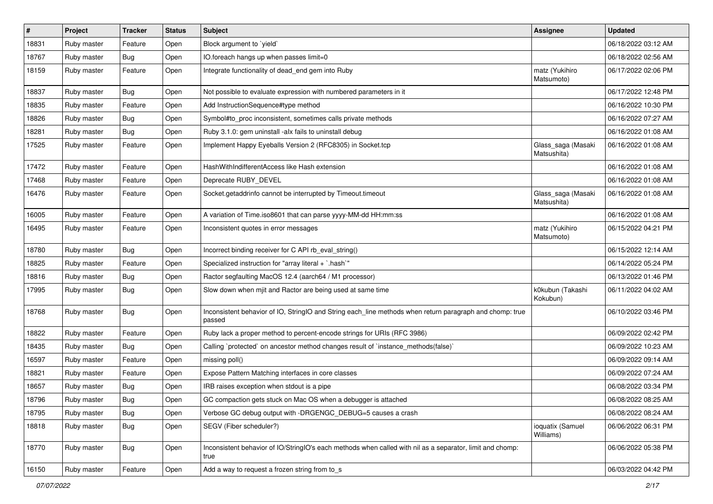| #     | Project     | <b>Tracker</b> | <b>Status</b> | Subject                                                                                                            | <b>Assignee</b>                   | <b>Updated</b>      |
|-------|-------------|----------------|---------------|--------------------------------------------------------------------------------------------------------------------|-----------------------------------|---------------------|
| 18831 | Ruby master | Feature        | Open          | Block argument to 'yield'                                                                                          |                                   | 06/18/2022 03:12 AM |
| 18767 | Ruby master | Bug            | Open          | IO.foreach hangs up when passes limit=0                                                                            |                                   | 06/18/2022 02:56 AM |
| 18159 | Ruby master | Feature        | Open          | Integrate functionality of dead_end gem into Ruby                                                                  | matz (Yukihiro<br>Matsumoto)      | 06/17/2022 02:06 PM |
| 18837 | Ruby master | Bug            | Open          | Not possible to evaluate expression with numbered parameters in it                                                 |                                   | 06/17/2022 12:48 PM |
| 18835 | Ruby master | Feature        | Open          | Add InstructionSequence#type method                                                                                |                                   | 06/16/2022 10:30 PM |
| 18826 | Ruby master | <b>Bug</b>     | Open          | Symbol#to_proc inconsistent, sometimes calls private methods                                                       |                                   | 06/16/2022 07:27 AM |
| 18281 | Ruby master | <b>Bug</b>     | Open          | Ruby 3.1.0: gem uninstall -alx fails to uninstall debug                                                            |                                   | 06/16/2022 01:08 AM |
| 17525 | Ruby master | Feature        | Open          | Implement Happy Eyeballs Version 2 (RFC8305) in Socket.tcp                                                         | Glass_saga (Masaki<br>Matsushita) | 06/16/2022 01:08 AM |
| 17472 | Ruby master | Feature        | Open          | HashWithIndifferentAccess like Hash extension                                                                      |                                   | 06/16/2022 01:08 AM |
| 17468 | Ruby master | Feature        | Open          | Deprecate RUBY_DEVEL                                                                                               |                                   | 06/16/2022 01:08 AM |
| 16476 | Ruby master | Feature        | Open          | Socket.getaddrinfo cannot be interrupted by Timeout.timeout                                                        | Glass_saga (Masaki<br>Matsushita) | 06/16/2022 01:08 AM |
| 16005 | Ruby master | Feature        | Open          | A variation of Time.iso8601 that can parse yyyy-MM-dd HH:mm:ss                                                     |                                   | 06/16/2022 01:08 AM |
| 16495 | Ruby master | Feature        | Open          | Inconsistent quotes in error messages                                                                              | matz (Yukihiro<br>Matsumoto)      | 06/15/2022 04:21 PM |
| 18780 | Ruby master | Bug            | Open          | Incorrect binding receiver for C API rb_eval_string()                                                              |                                   | 06/15/2022 12:14 AM |
| 18825 | Ruby master | Feature        | Open          | Specialized instruction for "array literal + `.hash`"                                                              |                                   | 06/14/2022 05:24 PM |
| 18816 | Ruby master | Bug            | Open          | Ractor segfaulting MacOS 12.4 (aarch64 / M1 processor)                                                             |                                   | 06/13/2022 01:46 PM |
| 17995 | Ruby master | Bug            | Open          | Slow down when mjit and Ractor are being used at same time                                                         | k0kubun (Takashi<br>Kokubun)      | 06/11/2022 04:02 AM |
| 18768 | Ruby master | Bug            | Open          | Inconsistent behavior of IO, StringIO and String each_line methods when return paragraph and chomp: true<br>passed |                                   | 06/10/2022 03:46 PM |
| 18822 | Ruby master | Feature        | Open          | Ruby lack a proper method to percent-encode strings for URIs (RFC 3986)                                            |                                   | 06/09/2022 02:42 PM |
| 18435 | Ruby master | Bug            | Open          | Calling `protected` on ancestor method changes result of `instance_methods(false)`                                 |                                   | 06/09/2022 10:23 AM |
| 16597 | Ruby master | Feature        | Open          | missing poll()                                                                                                     |                                   | 06/09/2022 09:14 AM |
| 18821 | Ruby master | Feature        | Open          | Expose Pattern Matching interfaces in core classes                                                                 |                                   | 06/09/2022 07:24 AM |
| 18657 | Ruby master | Bug            | Open          | IRB raises exception when stdout is a pipe                                                                         |                                   | 06/08/2022 03:34 PM |
| 18796 | Ruby master | Bug            | Open          | GC compaction gets stuck on Mac OS when a debugger is attached                                                     |                                   | 06/08/2022 08:25 AM |
| 18795 | Ruby master | <b>Bug</b>     | Open          | Verbose GC debug output with -DRGENGC_DEBUG=5 causes a crash                                                       |                                   | 06/08/2022 08:24 AM |
| 18818 | Ruby master | <b>Bug</b>     | Open          | SEGV (Fiber scheduler?)                                                                                            | ioquatix (Samuel<br>Williams)     | 06/06/2022 06:31 PM |
| 18770 | Ruby master | <b>Bug</b>     | Open          | Inconsistent behavior of IO/StringIO's each methods when called with nil as a separator, limit and chomp:<br>true  |                                   | 06/06/2022 05:38 PM |
| 16150 | Ruby master | Feature        | Open          | Add a way to request a frozen string from to_s                                                                     |                                   | 06/03/2022 04:42 PM |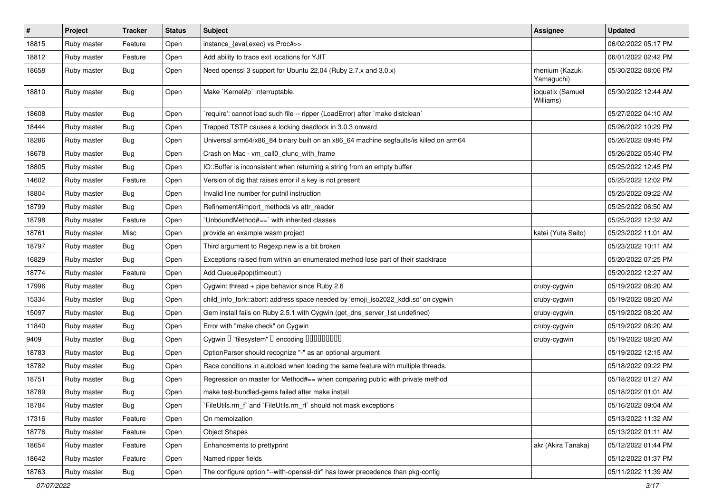| $\#$  | Project     | <b>Tracker</b> | <b>Status</b> | Subject                                                                               | <b>Assignee</b>               | <b>Updated</b>      |
|-------|-------------|----------------|---------------|---------------------------------------------------------------------------------------|-------------------------------|---------------------|
| 18815 | Ruby master | Feature        | Open          | instance_{eval,exec} vs Proc#>>                                                       |                               | 06/02/2022 05:17 PM |
| 18812 | Ruby master | Feature        | Open          | Add ability to trace exit locations for YJIT                                          |                               | 06/01/2022 02:42 PM |
| 18658 | Ruby master | Bug            | Open          | Need openssl 3 support for Ubuntu 22.04 (Ruby 2.7.x and 3.0.x)                        | rhenium (Kazuki<br>Yamaguchi) | 05/30/2022 08:06 PM |
| 18810 | Ruby master | Bug            | Open          | Make `Kernel#p` interruptable.                                                        | ioquatix (Samuel<br>Williams) | 05/30/2022 12:44 AM |
| 18608 | Ruby master | Bug            | Open          | 'require': cannot load such file -- ripper (LoadError) after 'make distclean'         |                               | 05/27/2022 04:10 AM |
| 18444 | Ruby master | <b>Bug</b>     | Open          | Trapped TSTP causes a locking deadlock in 3.0.3 onward                                |                               | 05/26/2022 10:29 PM |
| 18286 | Ruby master | Bug            | Open          | Universal arm64/x86_84 binary built on an x86_64 machine segfaults/is killed on arm64 |                               | 05/26/2022 09:45 PM |
| 18678 | Ruby master | Bug            | Open          | Crash on Mac - vm_call0_cfunc_with_frame                                              |                               | 05/26/2022 05:40 PM |
| 18805 | Ruby master | <b>Bug</b>     | Open          | IO::Buffer is inconsistent when returning a string from an empty buffer               |                               | 05/25/2022 12:45 PM |
| 14602 | Ruby master | Feature        | Open          | Version of dig that raises error if a key is not present                              |                               | 05/25/2022 12:02 PM |
| 18804 | Ruby master | Bug            | Open          | Invalid line number for putnil instruction                                            |                               | 05/25/2022 09:22 AM |
| 18799 | Ruby master | Bug            | Open          | Refinement#import_methods vs attr_reader                                              |                               | 05/25/2022 06:50 AM |
| 18798 | Ruby master | Feature        | Open          | 'UnboundMethod#==' with inherited classes                                             |                               | 05/25/2022 12:32 AM |
| 18761 | Ruby master | Misc           | Open          | provide an example wasm project                                                       | katei (Yuta Saito)            | 05/23/2022 11:01 AM |
| 18797 | Ruby master | <b>Bug</b>     | Open          | Third argument to Regexp.new is a bit broken                                          |                               | 05/23/2022 10:11 AM |
| 16829 | Ruby master | Bug            | Open          | Exceptions raised from within an enumerated method lose part of their stacktrace      |                               | 05/20/2022 07:25 PM |
| 18774 | Ruby master | Feature        | Open          | Add Queue#pop(timeout:)                                                               |                               | 05/20/2022 12:27 AM |
| 17996 | Ruby master | Bug            | Open          | Cygwin: thread + pipe behavior since Ruby 2.6                                         | cruby-cygwin                  | 05/19/2022 08:20 AM |
| 15334 | Ruby master | <b>Bug</b>     | Open          | child_info_fork::abort: address space needed by 'emoji_iso2022_kddi.so' on cygwin     | cruby-cygwin                  | 05/19/2022 08:20 AM |
| 15097 | Ruby master | <b>Bug</b>     | Open          | Gem install fails on Ruby 2.5.1 with Cygwin (get_dns_server_list undefined)           | cruby-cygwin                  | 05/19/2022 08:20 AM |
| 11840 | Ruby master | Bug            | Open          | Error with "make check" on Cygwin                                                     | cruby-cygwin                  | 05/19/2022 08:20 AM |
| 9409  | Ruby master | <b>Bug</b>     | Open          | Cygwin I "filesystem" I encoding IIIIIIIIIIII                                         | cruby-cygwin                  | 05/19/2022 08:20 AM |
| 18783 | Ruby master | Bug            | Open          | OptionParser should recognize "-" as an optional argument                             |                               | 05/19/2022 12:15 AM |
| 18782 | Ruby master | Bug            | Open          | Race conditions in autoload when loading the same feature with multiple threads.      |                               | 05/18/2022 09:22 PM |
| 18751 | Ruby master | <b>Bug</b>     | Open          | Regression on master for Method#== when comparing public with private method          |                               | 05/18/2022 01:27 AM |
| 18789 | Ruby master | <b>Bug</b>     | Open          | make test-bundled-gems failed after make install                                      |                               | 05/18/2022 01:01 AM |
| 18784 | Ruby master | Bug            | Open          | FileUtils.rm_f` and `FileUtils.rm_rf` should not mask exceptions                      |                               | 05/16/2022 09:04 AM |
| 17316 | Ruby master | Feature        | Open          | On memoization                                                                        |                               | 05/13/2022 11:32 AM |
| 18776 | Ruby master | Feature        | Open          | <b>Object Shapes</b>                                                                  |                               | 05/13/2022 01:11 AM |
| 18654 | Ruby master | Feature        | Open          | Enhancements to prettyprint                                                           | akr (Akira Tanaka)            | 05/12/2022 01:44 PM |
| 18642 | Ruby master | Feature        | Open          | Named ripper fields                                                                   |                               | 05/12/2022 01:37 PM |
| 18763 | Ruby master | Bug            | Open          | The configure option "--with-openssl-dir" has lower precedence than pkg-config        |                               | 05/11/2022 11:39 AM |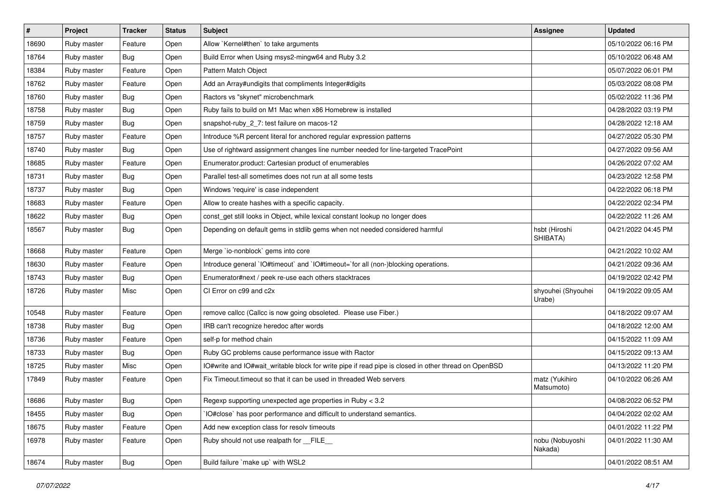| #     | Project     | <b>Tracker</b> | <b>Status</b> | Subject                                                                                              | <b>Assignee</b>              | <b>Updated</b>      |
|-------|-------------|----------------|---------------|------------------------------------------------------------------------------------------------------|------------------------------|---------------------|
| 18690 | Ruby master | Feature        | Open          | Allow `Kernel#then` to take arguments                                                                |                              | 05/10/2022 06:16 PM |
| 18764 | Ruby master | <b>Bug</b>     | Open          | Build Error when Using msys2-mingw64 and Ruby 3.2                                                    |                              | 05/10/2022 06:48 AM |
| 18384 | Ruby master | Feature        | Open          | Pattern Match Object                                                                                 |                              | 05/07/2022 06:01 PM |
| 18762 | Ruby master | Feature        | Open          | Add an Array#undigits that compliments Integer#digits                                                |                              | 05/03/2022 08:08 PM |
| 18760 | Ruby master | <b>Bug</b>     | Open          | Ractors vs "skynet" microbenchmark                                                                   |                              | 05/02/2022 11:36 PM |
| 18758 | Ruby master | <b>Bug</b>     | Open          | Ruby fails to build on M1 Mac when x86 Homebrew is installed                                         |                              | 04/28/2022 03:19 PM |
| 18759 | Ruby master | <b>Bug</b>     | Open          | snapshot-ruby_2_7: test failure on macos-12                                                          |                              | 04/28/2022 12:18 AM |
| 18757 | Ruby master | Feature        | Open          | Introduce %R percent literal for anchored regular expression patterns                                |                              | 04/27/2022 05:30 PM |
| 18740 | Ruby master | <b>Bug</b>     | Open          | Use of rightward assignment changes line number needed for line-targeted TracePoint                  |                              | 04/27/2022 09:56 AM |
| 18685 | Ruby master | Feature        | Open          | Enumerator.product: Cartesian product of enumerables                                                 |                              | 04/26/2022 07:02 AM |
| 18731 | Ruby master | <b>Bug</b>     | Open          | Parallel test-all sometimes does not run at all some tests                                           |                              | 04/23/2022 12:58 PM |
| 18737 | Ruby master | <b>Bug</b>     | Open          | Windows 'require' is case independent                                                                |                              | 04/22/2022 06:18 PM |
| 18683 | Ruby master | Feature        | Open          | Allow to create hashes with a specific capacity.                                                     |                              | 04/22/2022 02:34 PM |
| 18622 | Ruby master | <b>Bug</b>     | Open          | const_get still looks in Object, while lexical constant lookup no longer does                        |                              | 04/22/2022 11:26 AM |
| 18567 | Ruby master | <b>Bug</b>     | Open          | Depending on default gems in stdlib gems when not needed considered harmful                          | hsbt (Hiroshi<br>SHIBATA)    | 04/21/2022 04:45 PM |
| 18668 | Ruby master | Feature        | Open          | Merge `io-nonblock` gems into core                                                                   |                              | 04/21/2022 10:02 AM |
| 18630 | Ruby master | Feature        | Open          | Introduce general `IO#timeout` and `IO#timeout=`for all (non-)blocking operations.                   |                              | 04/21/2022 09:36 AM |
| 18743 | Ruby master | <b>Bug</b>     | Open          | Enumerator#next / peek re-use each others stacktraces                                                |                              | 04/19/2022 02:42 PM |
| 18726 | Ruby master | Misc           | Open          | CI Error on c99 and c2x                                                                              | shyouhei (Shyouhei<br>Urabe) | 04/19/2022 09:05 AM |
| 10548 | Ruby master | Feature        | Open          | remove callcc (Callcc is now going obsoleted. Please use Fiber.)                                     |                              | 04/18/2022 09:07 AM |
| 18738 | Ruby master | <b>Bug</b>     | Open          | IRB can't recognize heredoc after words                                                              |                              | 04/18/2022 12:00 AM |
| 18736 | Ruby master | Feature        | Open          | self-p for method chain                                                                              |                              | 04/15/2022 11:09 AM |
| 18733 | Ruby master | <b>Bug</b>     | Open          | Ruby GC problems cause performance issue with Ractor                                                 |                              | 04/15/2022 09:13 AM |
| 18725 | Ruby master | Misc           | Open          | IO#write and IO#wait_writable block for write pipe if read pipe is closed in other thread on OpenBSD |                              | 04/13/2022 11:20 PM |
| 17849 | Ruby master | Feature        | Open          | Fix Timeout timeout so that it can be used in threaded Web servers                                   | matz (Yukihiro<br>Matsumoto) | 04/10/2022 06:26 AM |
| 18686 | Ruby master | Bug            | Open          | Regexp supporting unexpected age properties in Ruby < 3.2                                            |                              | 04/08/2022 06:52 PM |
| 18455 | Ruby master | Bug            | Open          | IO#close` has poor performance and difficult to understand semantics.                                |                              | 04/04/2022 02:02 AM |
| 18675 | Ruby master | Feature        | Open          | Add new exception class for resolv timeouts                                                          |                              | 04/01/2022 11:22 PM |
| 16978 | Ruby master | Feature        | Open          | Ruby should not use realpath for FILE                                                                | nobu (Nobuyoshi<br>Nakada)   | 04/01/2022 11:30 AM |
| 18674 | Ruby master | <b>Bug</b>     | Open          | Build failure `make up` with WSL2                                                                    |                              | 04/01/2022 08:51 AM |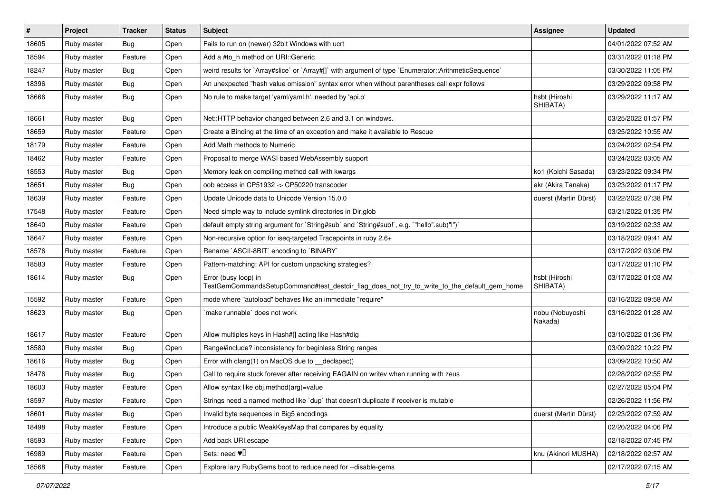| #     | Project     | <b>Tracker</b> | <b>Status</b> | Subject                                                                                                             | <b>Assignee</b>            | <b>Updated</b>      |
|-------|-------------|----------------|---------------|---------------------------------------------------------------------------------------------------------------------|----------------------------|---------------------|
| 18605 | Ruby master | <b>Bug</b>     | Open          | Fails to run on (newer) 32bit Windows with ucrt                                                                     |                            | 04/01/2022 07:52 AM |
| 18594 | Ruby master | Feature        | Open          | Add a #to_h method on URI::Generic                                                                                  |                            | 03/31/2022 01:18 PM |
| 18247 | Ruby master | <b>Bug</b>     | Open          | weird results for `Array#slice` or `Array#[]` with argument of type `Enumerator::ArithmeticSequence`                |                            | 03/30/2022 11:05 PM |
| 18396 | Ruby master | <b>Bug</b>     | Open          | An unexpected "hash value omission" syntax error when without parentheses call expr follows                         |                            | 03/29/2022 09:58 PM |
| 18666 | Ruby master | <b>Bug</b>     | Open          | No rule to make target 'yaml/yaml.h', needed by 'api.o'                                                             | hsbt (Hiroshi<br>SHIBATA)  | 03/29/2022 11:17 AM |
| 18661 | Ruby master | <b>Bug</b>     | Open          | Net::HTTP behavior changed between 2.6 and 3.1 on windows.                                                          |                            | 03/25/2022 01:57 PM |
| 18659 | Ruby master | Feature        | Open          | Create a Binding at the time of an exception and make it available to Rescue                                        |                            | 03/25/2022 10:55 AM |
| 18179 | Ruby master | Feature        | Open          | Add Math methods to Numeric                                                                                         |                            | 03/24/2022 02:54 PM |
| 18462 | Ruby master | Feature        | Open          | Proposal to merge WASI based WebAssembly support                                                                    |                            | 03/24/2022 03:05 AM |
| 18553 | Ruby master | <b>Bug</b>     | Open          | Memory leak on compiling method call with kwargs                                                                    | ko1 (Koichi Sasada)        | 03/23/2022 09:34 PM |
| 18651 | Ruby master | <b>Bug</b>     | Open          | oob access in CP51932 -> CP50220 transcoder                                                                         | akr (Akira Tanaka)         | 03/23/2022 01:17 PM |
| 18639 | Ruby master | Feature        | Open          | Update Unicode data to Unicode Version 15.0.0                                                                       | duerst (Martin Dürst)      | 03/22/2022 07:38 PM |
| 17548 | Ruby master | Feature        | Open          | Need simple way to include symlink directories in Dir.glob                                                          |                            | 03/21/2022 01:35 PM |
| 18640 | Ruby master | Feature        | Open          | default empty string argument for `String#sub` and `String#sub!`, e.g. `"hello".sub("I")`                           |                            | 03/19/2022 02:33 AM |
| 18647 | Ruby master | Feature        | Open          | Non-recursive option for iseq-targeted Tracepoints in ruby 2.6+                                                     |                            | 03/18/2022 09:41 AM |
| 18576 | Ruby master | Feature        | Open          | Rename `ASCII-8BIT` encoding to `BINARY`                                                                            |                            | 03/17/2022 03:06 PM |
| 18583 | Ruby master | Feature        | Open          | Pattern-matching: API for custom unpacking strategies?                                                              |                            | 03/17/2022 01:10 PM |
| 18614 | Ruby master | Bug            | Open          | Error (busy loop) in<br>TestGemCommandsSetupCommand#test_destdir_flag_does_not_try_to_write_to_the_default_gem_home | hsbt (Hiroshi<br>SHIBATA)  | 03/17/2022 01:03 AM |
| 15592 | Ruby master | Feature        | Open          | mode where "autoload" behaves like an immediate "require"                                                           |                            | 03/16/2022 09:58 AM |
| 18623 | Ruby master | Bug            | Open          | make runnable' does not work                                                                                        | nobu (Nobuyoshi<br>Nakada) | 03/16/2022 01:28 AM |
| 18617 | Ruby master | Feature        | Open          | Allow multiples keys in Hash#[] acting like Hash#dig                                                                |                            | 03/10/2022 01:36 PM |
| 18580 | Ruby master | <b>Bug</b>     | Open          | Range#include? inconsistency for beginless String ranges                                                            |                            | 03/09/2022 10:22 PM |
| 18616 | Ruby master | <b>Bug</b>     | Open          | Error with clang(1) on MacOS due to _declspec()                                                                     |                            | 03/09/2022 10:50 AM |
| 18476 | Ruby master | <b>Bug</b>     | Open          | Call to require stuck forever after receiving EAGAIN on writev when running with zeus                               |                            | 02/28/2022 02:55 PM |
| 18603 | Ruby master | Feature        | Open          | Allow syntax like obj.method(arg)=value                                                                             |                            | 02/27/2022 05:04 PM |
| 18597 | Ruby master | Feature        | Open          | Strings need a named method like 'dup' that doesn't duplicate if receiver is mutable                                |                            | 02/26/2022 11:56 PM |
| 18601 | Ruby master | <b>Bug</b>     | Open          | Invalid byte sequences in Big5 encodings                                                                            | duerst (Martin Dürst)      | 02/23/2022 07:59 AM |
| 18498 | Ruby master | Feature        | Open          | Introduce a public WeakKeysMap that compares by equality                                                            |                            | 02/20/2022 04:06 PM |
| 18593 | Ruby master | Feature        | Open          | Add back URI.escape                                                                                                 |                            | 02/18/2022 07:45 PM |
| 16989 | Ruby master | Feature        | Open          | Sets: need $\Psi$ <sup>[]</sup>                                                                                     | knu (Akinori MUSHA)        | 02/18/2022 02:57 AM |
| 18568 | Ruby master | Feature        | Open          | Explore lazy RubyGems boot to reduce need for --disable-gems                                                        |                            | 02/17/2022 07:15 AM |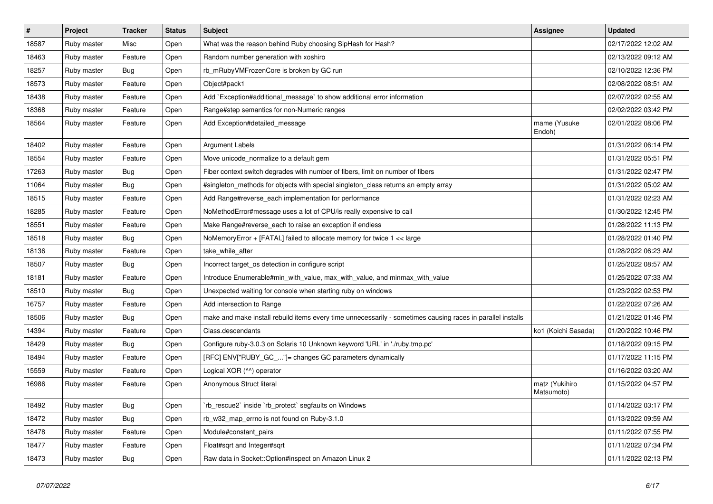| $\vert$ # | Project     | <b>Tracker</b> | <b>Status</b> | <b>Subject</b>                                                                                              | <b>Assignee</b>              | <b>Updated</b>      |
|-----------|-------------|----------------|---------------|-------------------------------------------------------------------------------------------------------------|------------------------------|---------------------|
| 18587     | Ruby master | Misc           | Open          | What was the reason behind Ruby choosing SipHash for Hash?                                                  |                              | 02/17/2022 12:02 AM |
| 18463     | Ruby master | Feature        | Open          | Random number generation with xoshiro                                                                       |                              | 02/13/2022 09:12 AM |
| 18257     | Ruby master | <b>Bug</b>     | Open          | rb mRubyVMFrozenCore is broken by GC run                                                                    |                              | 02/10/2022 12:36 PM |
| 18573     | Ruby master | Feature        | Open          | Object#pack1                                                                                                |                              | 02/08/2022 08:51 AM |
| 18438     | Ruby master | Feature        | Open          | Add `Exception#additional message` to show additional error information                                     |                              | 02/07/2022 02:55 AM |
| 18368     | Ruby master | Feature        | Open          | Range#step semantics for non-Numeric ranges                                                                 |                              | 02/02/2022 03:42 PM |
| 18564     | Ruby master | Feature        | Open          | Add Exception#detailed_message                                                                              | mame (Yusuke<br>Endoh)       | 02/01/2022 08:06 PM |
| 18402     | Ruby master | Feature        | Open          | Argument Labels                                                                                             |                              | 01/31/2022 06:14 PM |
| 18554     | Ruby master | Feature        | Open          | Move unicode_normalize to a default gem                                                                     |                              | 01/31/2022 05:51 PM |
| 17263     | Ruby master | <b>Bug</b>     | Open          | Fiber context switch degrades with number of fibers, limit on number of fibers                              |                              | 01/31/2022 02:47 PM |
| 11064     | Ruby master | Bug            | Open          | #singleton methods for objects with special singleton class returns an empty array                          |                              | 01/31/2022 05:02 AM |
| 18515     | Ruby master | Feature        | Open          | Add Range#reverse_each implementation for performance                                                       |                              | 01/31/2022 02:23 AM |
| 18285     | Ruby master | Feature        | Open          | NoMethodError#message uses a lot of CPU/is really expensive to call                                         |                              | 01/30/2022 12:45 PM |
| 18551     | Ruby master | Feature        | Open          | Make Range#reverse_each to raise an exception if endless                                                    |                              | 01/28/2022 11:13 PM |
| 18518     | Ruby master | <b>Bug</b>     | Open          | NoMemoryError + [FATAL] failed to allocate memory for twice 1 << large                                      |                              | 01/28/2022 01:40 PM |
| 18136     | Ruby master | Feature        | Open          | take while after                                                                                            |                              | 01/28/2022 06:23 AM |
| 18507     | Ruby master | <b>Bug</b>     | Open          | Incorrect target_os detection in configure script                                                           |                              | 01/25/2022 08:57 AM |
| 18181     | Ruby master | Feature        | Open          | Introduce Enumerable#min_with_value, max_with_value, and minmax_with_value                                  |                              | 01/25/2022 07:33 AM |
| 18510     | Ruby master | <b>Bug</b>     | Open          | Unexpected waiting for console when starting ruby on windows                                                |                              | 01/23/2022 02:53 PM |
| 16757     | Ruby master | Feature        | Open          | Add intersection to Range                                                                                   |                              | 01/22/2022 07:26 AM |
| 18506     | Ruby master | <b>Bug</b>     | Open          | make and make install rebuild items every time unnecessarily - sometimes causing races in parallel installs |                              | 01/21/2022 01:46 PM |
| 14394     | Ruby master | Feature        | Open          | Class.descendants                                                                                           | ko1 (Koichi Sasada)          | 01/20/2022 10:46 PM |
| 18429     | Ruby master | <b>Bug</b>     | Open          | Configure ruby-3.0.3 on Solaris 10 Unknown keyword 'URL' in './ruby.tmp.pc'                                 |                              | 01/18/2022 09:15 PM |
| 18494     | Ruby master | Feature        | Open          | [RFC] ENV["RUBY_GC_"]= changes GC parameters dynamically                                                    |                              | 01/17/2022 11:15 PM |
| 15559     | Ruby master | Feature        | Open          | Logical XOR (^^) operator                                                                                   |                              | 01/16/2022 03:20 AM |
| 16986     | Ruby master | Feature        | Open          | Anonymous Struct literal                                                                                    | matz (Yukihiro<br>Matsumoto) | 01/15/2022 04:57 PM |
| 18492     | Ruby master | Bug            | Open          | rb rescue2` inside `rb protect` segfaults on Windows                                                        |                              | 01/14/2022 03:17 PM |
| 18472     | Ruby master | Bug            | Open          | rb_w32_map_errno is not found on Ruby-3.1.0                                                                 |                              | 01/13/2022 09:59 AM |
| 18478     | Ruby master | Feature        | Open          | Module#constant pairs                                                                                       |                              | 01/11/2022 07:55 PM |
| 18477     | Ruby master | Feature        | Open          | Float#sqrt and Integer#sqrt                                                                                 |                              | 01/11/2022 07:34 PM |
| 18473     | Ruby master | <b>Bug</b>     | Open          | Raw data in Socket::Option#inspect on Amazon Linux 2                                                        |                              | 01/11/2022 02:13 PM |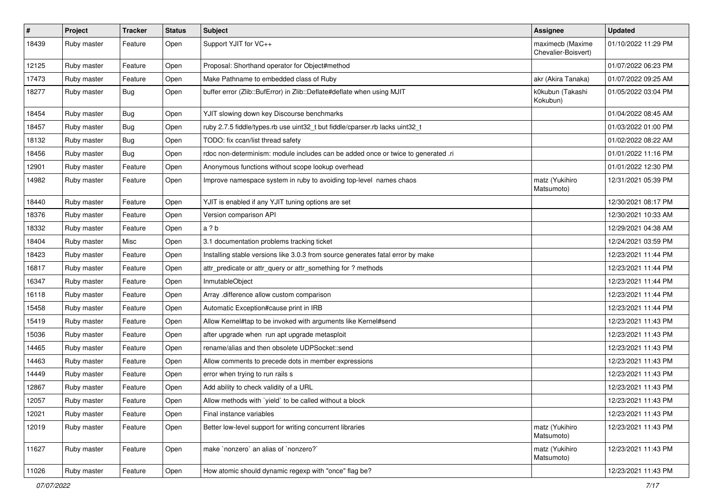| $\#$  | Project     | <b>Tracker</b> | <b>Status</b> | Subject                                                                           | Assignee                                | <b>Updated</b>      |
|-------|-------------|----------------|---------------|-----------------------------------------------------------------------------------|-----------------------------------------|---------------------|
| 18439 | Ruby master | Feature        | Open          | Support YJIT for VC++                                                             | maximecb (Maxime<br>Chevalier-Boisvert) | 01/10/2022 11:29 PM |
| 12125 | Ruby master | Feature        | Open          | Proposal: Shorthand operator for Object#method                                    |                                         | 01/07/2022 06:23 PM |
| 17473 | Ruby master | Feature        | Open          | Make Pathname to embedded class of Ruby                                           | akr (Akira Tanaka)                      | 01/07/2022 09:25 AM |
| 18277 | Ruby master | Bug            | Open          | buffer error (Zlib::BufError) in Zlib::Deflate#deflate when using MJIT            | k0kubun (Takashi<br>Kokubun)            | 01/05/2022 03:04 PM |
| 18454 | Ruby master | Bug            | Open          | YJIT slowing down key Discourse benchmarks                                        |                                         | 01/04/2022 08:45 AM |
| 18457 | Ruby master | Bug            | Open          | ruby 2.7.5 fiddle/types.rb use uint32_t but fiddle/cparser.rb lacks uint32_t      |                                         | 01/03/2022 01:00 PM |
| 18132 | Ruby master | Bug            | Open          | TODO: fix ccan/list thread safety                                                 |                                         | 01/02/2022 08:22 AM |
| 18456 | Ruby master | Bug            | Open          | rdoc non-determinism: module includes can be added once or twice to generated .ri |                                         | 01/01/2022 11:16 PM |
| 12901 | Ruby master | Feature        | Open          | Anonymous functions without scope lookup overhead                                 |                                         | 01/01/2022 12:30 PM |
| 14982 | Ruby master | Feature        | Open          | Improve namespace system in ruby to avoiding top-level names chaos                | matz (Yukihiro<br>Matsumoto)            | 12/31/2021 05:39 PM |
| 18440 | Ruby master | Feature        | Open          | YJIT is enabled if any YJIT tuning options are set                                |                                         | 12/30/2021 08:17 PM |
| 18376 | Ruby master | Feature        | Open          | Version comparison API                                                            |                                         | 12/30/2021 10:33 AM |
| 18332 | Ruby master | Feature        | Open          | a ? b                                                                             |                                         | 12/29/2021 04:38 AM |
| 18404 | Ruby master | Misc           | Open          | 3.1 documentation problems tracking ticket                                        |                                         | 12/24/2021 03:59 PM |
| 18423 | Ruby master | Feature        | Open          | Installing stable versions like 3.0.3 from source generates fatal error by make   |                                         | 12/23/2021 11:44 PM |
| 16817 | Ruby master | Feature        | Open          | attr_predicate or attr_query or attr_something for ? methods                      |                                         | 12/23/2021 11:44 PM |
| 16347 | Ruby master | Feature        | Open          | InmutableObject                                                                   |                                         | 12/23/2021 11:44 PM |
| 16118 | Ruby master | Feature        | Open          | Array .difference allow custom comparison                                         |                                         | 12/23/2021 11:44 PM |
| 15458 | Ruby master | Feature        | Open          | Automatic Exception#cause print in IRB                                            |                                         | 12/23/2021 11:44 PM |
| 15419 | Ruby master | Feature        | Open          | Allow Kernel#tap to be invoked with arguments like Kernel#send                    |                                         | 12/23/2021 11:43 PM |
| 15036 | Ruby master | Feature        | Open          | after upgrade when run apt upgrade metasploit                                     |                                         | 12/23/2021 11:43 PM |
| 14465 | Ruby master | Feature        | Open          | rename/alias and then obsolete UDPSocket::send                                    |                                         | 12/23/2021 11:43 PM |
| 14463 | Ruby master | Feature        | Open          | Allow comments to precede dots in member expressions                              |                                         | 12/23/2021 11:43 PM |
| 14449 | Ruby master | Feature        | Open          | error when trying to run rails s                                                  |                                         | 12/23/2021 11:43 PM |
| 12867 | Ruby master | Feature        | Open          | Add ability to check validity of a URL                                            |                                         | 12/23/2021 11:43 PM |
| 12057 | Ruby master | Feature        | Open          | Allow methods with `yield` to be called without a block                           |                                         | 12/23/2021 11:43 PM |
| 12021 | Ruby master | Feature        | Open          | Final instance variables                                                          |                                         | 12/23/2021 11:43 PM |
| 12019 | Ruby master | Feature        | Open          | Better low-level support for writing concurrent libraries                         | matz (Yukihiro<br>Matsumoto)            | 12/23/2021 11:43 PM |
| 11627 | Ruby master | Feature        | Open          | make `nonzero` an alias of `nonzero?`                                             | matz (Yukihiro<br>Matsumoto)            | 12/23/2021 11:43 PM |
| 11026 | Ruby master | Feature        | Open          | How atomic should dynamic regexp with "once" flag be?                             |                                         | 12/23/2021 11:43 PM |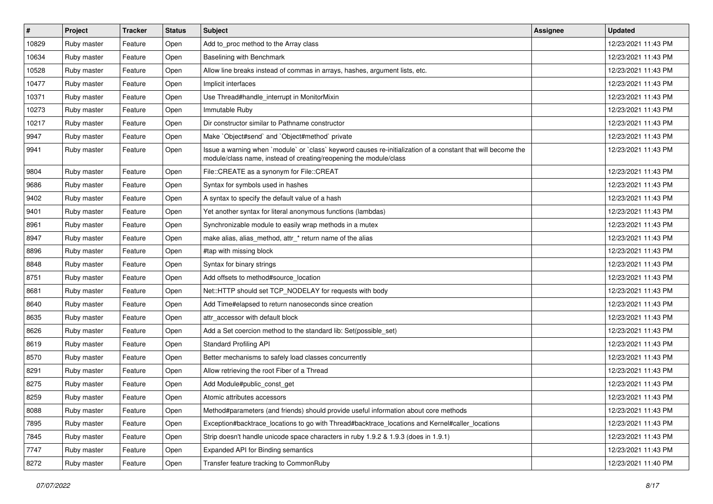| #     | Project     | <b>Tracker</b> | <b>Status</b> | Subject                                                                                                                                                                           | <b>Assignee</b> | <b>Updated</b>      |
|-------|-------------|----------------|---------------|-----------------------------------------------------------------------------------------------------------------------------------------------------------------------------------|-----------------|---------------------|
| 10829 | Ruby master | Feature        | Open          | Add to_proc method to the Array class                                                                                                                                             |                 | 12/23/2021 11:43 PM |
| 10634 | Ruby master | Feature        | Open          | <b>Baselining with Benchmark</b>                                                                                                                                                  |                 | 12/23/2021 11:43 PM |
| 10528 | Ruby master | Feature        | Open          | Allow line breaks instead of commas in arrays, hashes, argument lists, etc.                                                                                                       |                 | 12/23/2021 11:43 PM |
| 10477 | Ruby master | Feature        | Open          | Implicit interfaces                                                                                                                                                               |                 | 12/23/2021 11:43 PM |
| 10371 | Ruby master | Feature        | Open          | Use Thread#handle_interrupt in MonitorMixin                                                                                                                                       |                 | 12/23/2021 11:43 PM |
| 10273 | Ruby master | Feature        | Open          | Immutable Ruby                                                                                                                                                                    |                 | 12/23/2021 11:43 PM |
| 10217 | Ruby master | Feature        | Open          | Dir constructor similar to Pathname constructor                                                                                                                                   |                 | 12/23/2021 11:43 PM |
| 9947  | Ruby master | Feature        | Open          | Make `Object#send` and `Object#method` private                                                                                                                                    |                 | 12/23/2021 11:43 PM |
| 9941  | Ruby master | Feature        | Open          | Issue a warning when `module` or `class` keyword causes re-initialization of a constant that will become the<br>module/class name, instead of creating/reopening the module/class |                 | 12/23/2021 11:43 PM |
| 9804  | Ruby master | Feature        | Open          | File::CREATE as a synonym for File::CREAT                                                                                                                                         |                 | 12/23/2021 11:43 PM |
| 9686  | Ruby master | Feature        | Open          | Syntax for symbols used in hashes                                                                                                                                                 |                 | 12/23/2021 11:43 PM |
| 9402  | Ruby master | Feature        | Open          | A syntax to specify the default value of a hash                                                                                                                                   |                 | 12/23/2021 11:43 PM |
| 9401  | Ruby master | Feature        | Open          | Yet another syntax for literal anonymous functions (lambdas)                                                                                                                      |                 | 12/23/2021 11:43 PM |
| 8961  | Ruby master | Feature        | Open          | Synchronizable module to easily wrap methods in a mutex                                                                                                                           |                 | 12/23/2021 11:43 PM |
| 8947  | Ruby master | Feature        | Open          | make alias, alias_method, attr_* return name of the alias                                                                                                                         |                 | 12/23/2021 11:43 PM |
| 8896  | Ruby master | Feature        | Open          | #tap with missing block                                                                                                                                                           |                 | 12/23/2021 11:43 PM |
| 8848  | Ruby master | Feature        | Open          | Syntax for binary strings                                                                                                                                                         |                 | 12/23/2021 11:43 PM |
| 8751  | Ruby master | Feature        | Open          | Add offsets to method#source_location                                                                                                                                             |                 | 12/23/2021 11:43 PM |
| 8681  | Ruby master | Feature        | Open          | Net::HTTP should set TCP_NODELAY for requests with body                                                                                                                           |                 | 12/23/2021 11:43 PM |
| 8640  | Ruby master | Feature        | Open          | Add Time#elapsed to return nanoseconds since creation                                                                                                                             |                 | 12/23/2021 11:43 PM |
| 8635  | Ruby master | Feature        | Open          | attr accessor with default block                                                                                                                                                  |                 | 12/23/2021 11:43 PM |
| 8626  | Ruby master | Feature        | Open          | Add a Set coercion method to the standard lib: Set(possible_set)                                                                                                                  |                 | 12/23/2021 11:43 PM |
| 8619  | Ruby master | Feature        | Open          | <b>Standard Profiling API</b>                                                                                                                                                     |                 | 12/23/2021 11:43 PM |
| 8570  | Ruby master | Feature        | Open          | Better mechanisms to safely load classes concurrently                                                                                                                             |                 | 12/23/2021 11:43 PM |
| 8291  | Ruby master | Feature        | Open          | Allow retrieving the root Fiber of a Thread                                                                                                                                       |                 | 12/23/2021 11:43 PM |
| 8275  | Ruby master | Feature        | Open          | Add Module#public_const_get                                                                                                                                                       |                 | 12/23/2021 11:43 PM |
| 8259  | Ruby master | Feature        | Open          | Atomic attributes accessors                                                                                                                                                       |                 | 12/23/2021 11:43 PM |
| 8088  | Ruby master | Feature        | Open          | Method#parameters (and friends) should provide useful information about core methods                                                                                              |                 | 12/23/2021 11:43 PM |
| 7895  | Ruby master | Feature        | Open          | Exception#backtrace_locations to go with Thread#backtrace_locations and Kernel#caller_locations                                                                                   |                 | 12/23/2021 11:43 PM |
| 7845  | Ruby master | Feature        | Open          | Strip doesn't handle unicode space characters in ruby 1.9.2 & 1.9.3 (does in 1.9.1)                                                                                               |                 | 12/23/2021 11:43 PM |
| 7747  | Ruby master | Feature        | Open          | Expanded API for Binding semantics                                                                                                                                                |                 | 12/23/2021 11:43 PM |
| 8272  | Ruby master | Feature        | Open          | Transfer feature tracking to CommonRuby                                                                                                                                           |                 | 12/23/2021 11:40 PM |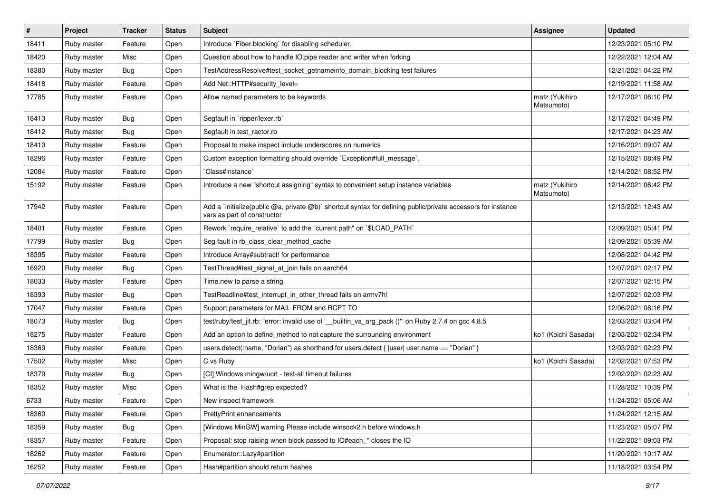| $\vert$ # | Project     | <b>Tracker</b> | <b>Status</b> | <b>Subject</b>                                                                                                                              | <b>Assignee</b>              | <b>Updated</b>      |
|-----------|-------------|----------------|---------------|---------------------------------------------------------------------------------------------------------------------------------------------|------------------------------|---------------------|
| 18411     | Ruby master | Feature        | Open          | Introduce `Fiber.blocking` for disabling scheduler.                                                                                         |                              | 12/23/2021 05:10 PM |
| 18420     | Ruby master | Misc           | Open          | Question about how to handle IO.pipe reader and writer when forking                                                                         |                              | 12/22/2021 12:04 AM |
| 18380     | Ruby master | <b>Bug</b>     | Open          | TestAddressResolve#test_socket_getnameinfo_domain_blocking test failures                                                                    |                              | 12/21/2021 04:22 PM |
| 18418     | Ruby master | Feature        | Open          | Add Net::HTTP#security level=                                                                                                               |                              | 12/19/2021 11:58 AM |
| 17785     | Ruby master | Feature        | Open          | Allow named parameters to be keywords                                                                                                       | matz (Yukihiro<br>Matsumoto) | 12/17/2021 06:10 PM |
| 18413     | Ruby master | Bug            | Open          | Segfault in `ripper/lexer.rb`                                                                                                               |                              | 12/17/2021 04:49 PM |
| 18412     | Ruby master | <b>Bug</b>     | Open          | Segfault in test_ractor.rb                                                                                                                  |                              | 12/17/2021 04:23 AM |
| 18410     | Ruby master | Feature        | Open          | Proposal to make inspect include underscores on numerics                                                                                    |                              | 12/16/2021 09:07 AM |
| 18296     | Ruby master | Feature        | Open          | Custom exception formatting should override `Exception#full_message`.                                                                       |                              | 12/15/2021 08:49 PM |
| 12084     | Ruby master | Feature        | Open          | Class#instance`                                                                                                                             |                              | 12/14/2021 08:52 PM |
| 15192     | Ruby master | Feature        | Open          | Introduce a new "shortcut assigning" syntax to convenient setup instance variables                                                          | matz (Yukihiro<br>Matsumoto) | 12/14/2021 06:42 PM |
| 17942     | Ruby master | Feature        | Open          | Add a `initialize(public @a, private @b)` shortcut syntax for defining public/private accessors for instance<br>vars as part of constructor |                              | 12/13/2021 12:43 AM |
| 18401     | Ruby master | Feature        | Open          | Rework `require_relative` to add the "current path" on `\$LOAD_PATH`                                                                        |                              | 12/09/2021 05:41 PM |
| 17799     | Ruby master | Bug            | Open          | Seg fault in rb_class_clear_method_cache                                                                                                    |                              | 12/09/2021 05:39 AM |
| 18395     | Ruby master | Feature        | Open          | Introduce Array#subtract! for performance                                                                                                   |                              | 12/08/2021 04:42 PM |
| 16920     | Ruby master | <b>Bug</b>     | Open          | TestThread#test_signal_at_join fails on aarch64                                                                                             |                              | 12/07/2021 02:17 PM |
| 18033     | Ruby master | Feature        | Open          | Time.new to parse a string                                                                                                                  |                              | 12/07/2021 02:15 PM |
| 18393     | Ruby master | <b>Bug</b>     | Open          | TestReadline#test interrupt in other thread fails on armv7hl                                                                                |                              | 12/07/2021 02:03 PM |
| 17047     | Ruby master | Feature        | Open          | Support parameters for MAIL FROM and RCPT TO                                                                                                |                              | 12/06/2021 08:16 PM |
| 18073     | Ruby master | Bug            | Open          | test/ruby/test_jit.rb: "error: invalid use of '__builtin_va_arg_pack ()" on Ruby 2.7.4 on gcc 4.8.5                                         |                              | 12/03/2021 03:04 PM |
| 18275     | Ruby master | Feature        | Open          | Add an option to define_method to not capture the surrounding environment                                                                   | ko1 (Koichi Sasada)          | 12/03/2021 02:34 PM |
| 18369     | Ruby master | Feature        | Open          | users.detect(:name, "Dorian") as shorthand for users.detect { $ user $ user.name == "Dorian" }                                              |                              | 12/03/2021 02:23 PM |
| 17502     | Ruby master | Misc           | Open          | C vs Ruby                                                                                                                                   | ko1 (Koichi Sasada)          | 12/02/2021 07:53 PM |
| 18379     | Ruby master | <b>Bug</b>     | Open          | [CI] Windows mingw/ucrt - test-all timeout failures                                                                                         |                              | 12/02/2021 02:23 AM |
| 18352     | Ruby master | Misc           | Open          | What is the Hash#grep expected?                                                                                                             |                              | 11/28/2021 10:39 PM |
| 6733      | Ruby master | Feature        | Open          | New inspect framework                                                                                                                       |                              | 11/24/2021 05:06 AM |
| 18360     | Ruby master | Feature        | Open          | PrettyPrint enhancements                                                                                                                    |                              | 11/24/2021 12:15 AM |
| 18359     | Ruby master | <b>Bug</b>     | Open          | [Windows MinGW] warning Please include winsock2.h before windows.h                                                                          |                              | 11/23/2021 05:07 PM |
| 18357     | Ruby master | Feature        | Open          | Proposal: stop raising when block passed to IO#each * closes the IO                                                                         |                              | 11/22/2021 09:03 PM |
| 18262     | Ruby master | Feature        | Open          | Enumerator::Lazy#partition                                                                                                                  |                              | 11/20/2021 10:17 AM |
| 16252     | Ruby master | Feature        | Open          | Hash#partition should return hashes                                                                                                         |                              | 11/18/2021 03:54 PM |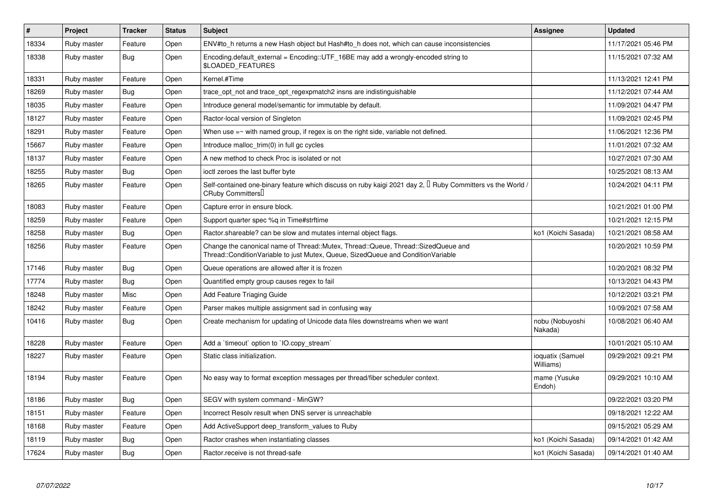| $\pmb{\#}$ | Project     | <b>Tracker</b> | <b>Status</b> | <b>Subject</b>                                                                                                                                                        | <b>Assignee</b>               | <b>Updated</b>      |
|------------|-------------|----------------|---------------|-----------------------------------------------------------------------------------------------------------------------------------------------------------------------|-------------------------------|---------------------|
| 18334      | Ruby master | Feature        | Open          | ENV#to_h returns a new Hash object but Hash#to_h does not, which can cause inconsistencies                                                                            |                               | 11/17/2021 05:46 PM |
| 18338      | Ruby master | Bug            | Open          | Encoding default external = $Encoding::UTF 16BE$ may add a wrongly-encoded string to<br><b>\$LOADED FEATURES</b>                                                      |                               | 11/15/2021 07:32 AM |
| 18331      | Ruby master | Feature        | Open          | Kernel.#Time                                                                                                                                                          |                               | 11/13/2021 12:41 PM |
| 18269      | Ruby master | <b>Bug</b>     | Open          | trace_opt_not and trace_opt_regexpmatch2 insns are indistinguishable                                                                                                  |                               | 11/12/2021 07:44 AM |
| 18035      | Ruby master | Feature        | Open          | Introduce general model/semantic for immutable by default.                                                                                                            |                               | 11/09/2021 04:47 PM |
| 18127      | Ruby master | Feature        | Open          | Ractor-local version of Singleton                                                                                                                                     |                               | 11/09/2021 02:45 PM |
| 18291      | Ruby master | Feature        | Open          | When use $=\sim$ with named group, if regex is on the right side, variable not defined.                                                                               |                               | 11/06/2021 12:36 PM |
| 15667      | Ruby master | Feature        | Open          | Introduce malloc_trim(0) in full gc cycles                                                                                                                            |                               | 11/01/2021 07:32 AM |
| 18137      | Ruby master | Feature        | Open          | A new method to check Proc is isolated or not                                                                                                                         |                               | 10/27/2021 07:30 AM |
| 18255      | Ruby master | <b>Bug</b>     | Open          | ioctl zeroes the last buffer byte                                                                                                                                     |                               | 10/25/2021 08:13 AM |
| 18265      | Ruby master | Feature        | Open          | Self-contained one-binary feature which discuss on ruby kaigi 2021 day 2, $\Box$ Ruby Committers vs the World /<br>CRuby Committers                                   |                               | 10/24/2021 04:11 PM |
| 18083      | Ruby master | Feature        | Open          | Capture error in ensure block.                                                                                                                                        |                               | 10/21/2021 01:00 PM |
| 18259      | Ruby master | Feature        | Open          | Support quarter spec %q in Time#strftime                                                                                                                              |                               | 10/21/2021 12:15 PM |
| 18258      | Ruby master | <b>Bug</b>     | Open          | Ractor shareable? can be slow and mutates internal object flags.                                                                                                      | ko1 (Koichi Sasada)           | 10/21/2021 08:58 AM |
| 18256      | Ruby master | Feature        | Open          | Change the canonical name of Thread::Mutex, Thread::Queue, Thread::SizedQueue and<br>Thread::ConditionVariable to just Mutex, Queue, SizedQueue and ConditionVariable |                               | 10/20/2021 10:59 PM |
| 17146      | Ruby master | Bug            | Open          | Queue operations are allowed after it is frozen                                                                                                                       |                               | 10/20/2021 08:32 PM |
| 17774      | Ruby master | Bug            | Open          | Quantified empty group causes regex to fail                                                                                                                           |                               | 10/13/2021 04:43 PM |
| 18248      | Ruby master | Misc           | Open          | <b>Add Feature Triaging Guide</b>                                                                                                                                     |                               | 10/12/2021 03:21 PM |
| 18242      | Ruby master | Feature        | Open          | Parser makes multiple assignment sad in confusing way                                                                                                                 |                               | 10/09/2021 07:58 AM |
| 10416      | Ruby master | Bug            | Open          | Create mechanism for updating of Unicode data files downstreams when we want                                                                                          | nobu (Nobuyoshi<br>Nakada)    | 10/08/2021 06:40 AM |
| 18228      | Ruby master | Feature        | Open          | Add a 'timeout' option to 'IO.copy stream'                                                                                                                            |                               | 10/01/2021 05:10 AM |
| 18227      | Ruby master | Feature        | Open          | Static class initialization.                                                                                                                                          | ioquatix (Samuel<br>Williams) | 09/29/2021 09:21 PM |
| 18194      | Ruby master | Feature        | Open          | No easy way to format exception messages per thread/fiber scheduler context.                                                                                          | mame (Yusuke<br>Endoh)        | 09/29/2021 10:10 AM |
| 18186      | Ruby master | <b>Bug</b>     | Open          | SEGV with system command - MinGW?                                                                                                                                     |                               | 09/22/2021 03:20 PM |
| 18151      | Ruby master | Feature        | Open          | Incorrect Resolv result when DNS server is unreachable                                                                                                                |                               | 09/18/2021 12:22 AM |
| 18168      | Ruby master | Feature        | Open          | Add ActiveSupport deep_transform_values to Ruby                                                                                                                       |                               | 09/15/2021 05:29 AM |
| 18119      | Ruby master | Bug            | Open          | Ractor crashes when instantiating classes                                                                                                                             | ko1 (Koichi Sasada)           | 09/14/2021 01:42 AM |
| 17624      | Ruby master | Bug            | Open          | Ractor.receive is not thread-safe                                                                                                                                     | ko1 (Koichi Sasada)           | 09/14/2021 01:40 AM |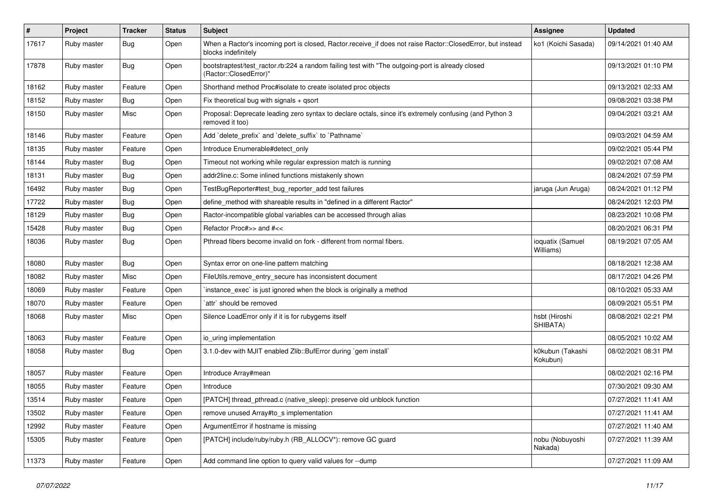| $\sharp$ | Project     | <b>Tracker</b> | <b>Status</b> | Subject                                                                                                                           | <b>Assignee</b>               | <b>Updated</b>      |
|----------|-------------|----------------|---------------|-----------------------------------------------------------------------------------------------------------------------------------|-------------------------------|---------------------|
| 17617    | Ruby master | Bug            | Open          | When a Ractor's incoming port is closed, Ractor.receive_if does not raise Ractor::ClosedError, but instead<br>blocks indefinitely | ko1 (Koichi Sasada)           | 09/14/2021 01:40 AM |
| 17878    | Ruby master | Bug            | Open          | bootstraptest/test_ractor.rb:224 a random failing test with "The outgoing-port is already closed<br>(Ractor::ClosedError)"        |                               | 09/13/2021 01:10 PM |
| 18162    | Ruby master | Feature        | Open          | Shorthand method Proc#isolate to create isolated proc objects                                                                     |                               | 09/13/2021 02:33 AM |
| 18152    | Ruby master | <b>Bug</b>     | Open          | Fix theoretical bug with signals + qsort                                                                                          |                               | 09/08/2021 03:38 PM |
| 18150    | Ruby master | Misc           | Open          | Proposal: Deprecate leading zero syntax to declare octals, since it's extremely confusing (and Python 3<br>removed it too)        |                               | 09/04/2021 03:21 AM |
| 18146    | Ruby master | Feature        | Open          | Add `delete_prefix` and `delete_suffix` to `Pathname`                                                                             |                               | 09/03/2021 04:59 AM |
| 18135    | Ruby master | Feature        | Open          | Introduce Enumerable#detect_only                                                                                                  |                               | 09/02/2021 05:44 PM |
| 18144    | Ruby master | <b>Bug</b>     | Open          | Timeout not working while regular expression match is running                                                                     |                               | 09/02/2021 07:08 AM |
| 18131    | Ruby master | <b>Bug</b>     | Open          | addr2line.c: Some inlined functions mistakenly shown                                                                              |                               | 08/24/2021 07:59 PM |
| 16492    | Ruby master | Bug            | Open          | TestBugReporter#test_bug_reporter_add test failures                                                                               | jaruga (Jun Aruga)            | 08/24/2021 01:12 PM |
| 17722    | Ruby master | Bug            | Open          | define_method with shareable results in "defined in a different Ractor"                                                           |                               | 08/24/2021 12:03 PM |
| 18129    | Ruby master | <b>Bug</b>     | Open          | Ractor-incompatible global variables can be accessed through alias                                                                |                               | 08/23/2021 10:08 PM |
| 15428    | Ruby master | <b>Bug</b>     | Open          | Refactor Proc#>> and #<<                                                                                                          |                               | 08/20/2021 06:31 PM |
| 18036    | Ruby master | <b>Bug</b>     | Open          | Pthread fibers become invalid on fork - different from normal fibers.                                                             | ioquatix (Samuel<br>Williams) | 08/19/2021 07:05 AM |
| 18080    | Ruby master | Bug            | Open          | Syntax error on one-line pattern matching                                                                                         |                               | 08/18/2021 12:38 AM |
| 18082    | Ruby master | Misc           | Open          | FileUtils.remove_entry_secure has inconsistent document                                                                           |                               | 08/17/2021 04:26 PM |
| 18069    | Ruby master | Feature        | Open          | instance_exec` is just ignored when the block is originally a method                                                              |                               | 08/10/2021 05:33 AM |
| 18070    | Ruby master | Feature        | Open          | `attr` should be removed                                                                                                          |                               | 08/09/2021 05:51 PM |
| 18068    | Ruby master | Misc           | Open          | Silence LoadError only if it is for rubygems itself                                                                               | hsbt (Hiroshi<br>SHIBATA)     | 08/08/2021 02:21 PM |
| 18063    | Ruby master | Feature        | Open          | io_uring implementation                                                                                                           |                               | 08/05/2021 10:02 AM |
| 18058    | Ruby master | Bug            | Open          | 3.1.0-dev with MJIT enabled Zlib::BufError during `gem install`                                                                   | k0kubun (Takashi<br>Kokubun)  | 08/02/2021 08:31 PM |
| 18057    | Ruby master | Feature        | Open          | Introduce Array#mean                                                                                                              |                               | 08/02/2021 02:16 PM |
| 18055    | Ruby master | Feature        | Open          | Introduce                                                                                                                         |                               | 07/30/2021 09:30 AM |
| 13514    | Ruby master | Feature        | Open          | [PATCH] thread_pthread.c (native_sleep): preserve old unblock function                                                            |                               | 07/27/2021 11:41 AM |
| 13502    | Ruby master | Feature        | Open          | remove unused Array#to_s implementation                                                                                           |                               | 07/27/2021 11:41 AM |
| 12992    | Ruby master | Feature        | Open          | ArgumentError if hostname is missing                                                                                              |                               | 07/27/2021 11:40 AM |
| 15305    | Ruby master | Feature        | Open          | [PATCH] include/ruby/ruby.h (RB_ALLOCV*): remove GC guard                                                                         | nobu (Nobuyoshi<br>Nakada)    | 07/27/2021 11:39 AM |
| 11373    | Ruby master | Feature        | Open          | Add command line option to query valid values for --dump                                                                          |                               | 07/27/2021 11:09 AM |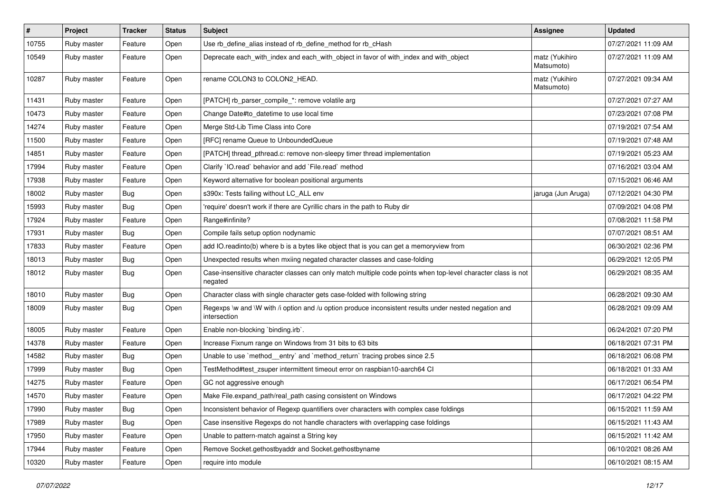| $\vert$ # | Project     | <b>Tracker</b> | <b>Status</b> | <b>Subject</b>                                                                                                          | <b>Assignee</b>              | <b>Updated</b>      |
|-----------|-------------|----------------|---------------|-------------------------------------------------------------------------------------------------------------------------|------------------------------|---------------------|
| 10755     | Ruby master | Feature        | Open          | Use rb_define_alias instead of rb_define_method for rb_cHash                                                            |                              | 07/27/2021 11:09 AM |
| 10549     | Ruby master | Feature        | Open          | Deprecate each_with_index and each_with_object in favor of with_index and with_object                                   | matz (Yukihiro<br>Matsumoto) | 07/27/2021 11:09 AM |
| 10287     | Ruby master | Feature        | Open          | rename COLON3 to COLON2_HEAD.                                                                                           | matz (Yukihiro<br>Matsumoto) | 07/27/2021 09:34 AM |
| 11431     | Ruby master | Feature        | Open          | [PATCH] rb_parser_compile_*: remove volatile arg                                                                        |                              | 07/27/2021 07:27 AM |
| 10473     | Ruby master | Feature        | Open          | Change Date#to_datetime to use local time                                                                               |                              | 07/23/2021 07:08 PM |
| 14274     | Ruby master | Feature        | Open          | Merge Std-Lib Time Class into Core                                                                                      |                              | 07/19/2021 07:54 AM |
| 11500     | Ruby master | Feature        | Open          | [RFC] rename Queue to UnboundedQueue                                                                                    |                              | 07/19/2021 07:48 AM |
| 14851     | Ruby master | Feature        | Open          | [PATCH] thread_pthread.c: remove non-sleepy timer thread implementation                                                 |                              | 07/19/2021 05:23 AM |
| 17994     | Ruby master | Feature        | Open          | Clarify `IO.read` behavior and add `File.read` method                                                                   |                              | 07/16/2021 03:04 AM |
| 17938     | Ruby master | Feature        | Open          | Keyword alternative for boolean positional arguments                                                                    |                              | 07/15/2021 06:46 AM |
| 18002     | Ruby master | Bug            | Open          | s390x: Tests failing without LC_ALL env                                                                                 | jaruga (Jun Aruga)           | 07/12/2021 04:30 PM |
| 15993     | Ruby master | <b>Bug</b>     | Open          | 'require' doesn't work if there are Cyrillic chars in the path to Ruby dir                                              |                              | 07/09/2021 04:08 PM |
| 17924     | Ruby master | Feature        | Open          | Range#infinite?                                                                                                         |                              | 07/08/2021 11:58 PM |
| 17931     | Ruby master | <b>Bug</b>     | Open          | Compile fails setup option nodynamic                                                                                    |                              | 07/07/2021 08:51 AM |
| 17833     | Ruby master | Feature        | Open          | add IO.readinto(b) where b is a bytes like object that is you can get a memoryview from                                 |                              | 06/30/2021 02:36 PM |
| 18013     | Ruby master | <b>Bug</b>     | Open          | Unexpected results when mxiing negated character classes and case-folding                                               |                              | 06/29/2021 12:05 PM |
| 18012     | Ruby master | Bug            | Open          | Case-insensitive character classes can only match multiple code points when top-level character class is not<br>negated |                              | 06/29/2021 08:35 AM |
| 18010     | Ruby master | Bug            | Open          | Character class with single character gets case-folded with following string                                            |                              | 06/28/2021 09:30 AM |
| 18009     | Ruby master | Bug            | Open          | Regexps \w and \W with /i option and /u option produce inconsistent results under nested negation and<br>intersection   |                              | 06/28/2021 09:09 AM |
| 18005     | Ruby master | Feature        | Open          | Enable non-blocking 'binding.irb'.                                                                                      |                              | 06/24/2021 07:20 PM |
| 14378     | Ruby master | Feature        | Open          | Increase Fixnum range on Windows from 31 bits to 63 bits                                                                |                              | 06/18/2021 07:31 PM |
| 14582     | Ruby master | Bug            | Open          | Unable to use `method_entry` and `method_return` tracing probes since 2.5                                               |                              | 06/18/2021 06:08 PM |
| 17999     | Ruby master | Bug            | Open          | TestMethod#test_zsuper intermittent timeout error on raspbian10-aarch64 CI                                              |                              | 06/18/2021 01:33 AM |
| 14275     | Ruby master | Feature        | Open          | GC not aggressive enough                                                                                                |                              | 06/17/2021 06:54 PM |
| 14570     | Ruby master | Feature        | Open          | Make File.expand_path/real_path casing consistent on Windows                                                            |                              | 06/17/2021 04:22 PM |
| 17990     | Ruby master | <b>Bug</b>     | Open          | Inconsistent behavior of Regexp quantifiers over characters with complex case foldings                                  |                              | 06/15/2021 11:59 AM |
| 17989     | Ruby master | <b>Bug</b>     | Open          | Case insensitive Regexps do not handle characters with overlapping case foldings                                        |                              | 06/15/2021 11:43 AM |
| 17950     | Ruby master | Feature        | Open          | Unable to pattern-match against a String key                                                                            |                              | 06/15/2021 11:42 AM |
| 17944     | Ruby master | Feature        | Open          | Remove Socket.gethostbyaddr and Socket.gethostbyname                                                                    |                              | 06/10/2021 08:26 AM |
| 10320     | Ruby master | Feature        | Open          | require into module                                                                                                     |                              | 06/10/2021 08:15 AM |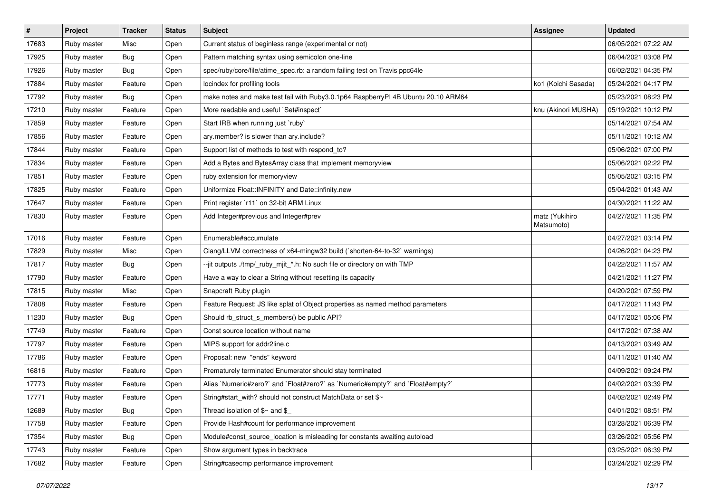| $\vert$ # | Project     | <b>Tracker</b> | <b>Status</b> | <b>Subject</b>                                                                    | Assignee                     | <b>Updated</b>      |
|-----------|-------------|----------------|---------------|-----------------------------------------------------------------------------------|------------------------------|---------------------|
| 17683     | Ruby master | Misc           | Open          | Current status of beginless range (experimental or not)                           |                              | 06/05/2021 07:22 AM |
| 17925     | Ruby master | Bug            | Open          | Pattern matching syntax using semicolon one-line                                  |                              | 06/04/2021 03:08 PM |
| 17926     | Ruby master | Bug            | Open          | spec/ruby/core/file/atime_spec.rb: a random failing test on Travis ppc64le        |                              | 06/02/2021 04:35 PM |
| 17884     | Ruby master | Feature        | Open          | locindex for profiling tools                                                      | ko1 (Koichi Sasada)          | 05/24/2021 04:17 PM |
| 17792     | Ruby master | Bug            | Open          | make notes and make test fail with Ruby3.0.1p64 RaspberryPI 4B Ubuntu 20.10 ARM64 |                              | 05/23/2021 08:23 PM |
| 17210     | Ruby master | Feature        | Open          | More readable and useful `Set#inspect`                                            | knu (Akinori MUSHA)          | 05/19/2021 10:12 PM |
| 17859     | Ruby master | Feature        | Open          | Start IRB when running just `ruby`                                                |                              | 05/14/2021 07:54 AM |
| 17856     | Ruby master | Feature        | Open          | ary.member? is slower than ary.include?                                           |                              | 05/11/2021 10:12 AM |
| 17844     | Ruby master | Feature        | Open          | Support list of methods to test with respond_to?                                  |                              | 05/06/2021 07:00 PM |
| 17834     | Ruby master | Feature        | Open          | Add a Bytes and BytesArray class that implement memoryview                        |                              | 05/06/2021 02:22 PM |
| 17851     | Ruby master | Feature        | Open          | ruby extension for memoryview                                                     |                              | 05/05/2021 03:15 PM |
| 17825     | Ruby master | Feature        | Open          | Uniformize Float:: INFINITY and Date:: infinity.new                               |                              | 05/04/2021 01:43 AM |
| 17647     | Ruby master | Feature        | Open          | Print register `r11` on 32-bit ARM Linux                                          |                              | 04/30/2021 11:22 AM |
| 17830     | Ruby master | Feature        | Open          | Add Integer#previous and Integer#prev                                             | matz (Yukihiro<br>Matsumoto) | 04/27/2021 11:35 PM |
| 17016     | Ruby master | Feature        | Open          | Enumerable#accumulate                                                             |                              | 04/27/2021 03:14 PM |
| 17829     | Ruby master | Misc           | Open          | Clang/LLVM correctness of x64-mingw32 build (`shorten-64-to-32` warnings)         |                              | 04/26/2021 04:23 PM |
| 17817     | Ruby master | Bug            | Open          | --jit outputs ./tmp/_ruby_mjit_*.h: No such file or directory on with TMP         |                              | 04/22/2021 11:57 AM |
| 17790     | Ruby master | Feature        | Open          | Have a way to clear a String without resetting its capacity                       |                              | 04/21/2021 11:27 PM |
| 17815     | Ruby master | Misc           | Open          | Snapcraft Ruby plugin                                                             |                              | 04/20/2021 07:59 PM |
| 17808     | Ruby master | Feature        | Open          | Feature Request: JS like splat of Object properties as named method parameters    |                              | 04/17/2021 11:43 PM |
| 11230     | Ruby master | Bug            | Open          | Should rb_struct_s_members() be public API?                                       |                              | 04/17/2021 05:06 PM |
| 17749     | Ruby master | Feature        | Open          | Const source location without name                                                |                              | 04/17/2021 07:38 AM |
| 17797     | Ruby master | Feature        | Open          | MIPS support for addr2line.c                                                      |                              | 04/13/2021 03:49 AM |
| 17786     | Ruby master | Feature        | Open          | Proposal: new "ends" keyword                                                      |                              | 04/11/2021 01:40 AM |
| 16816     | Ruby master | Feature        | Open          | Prematurely terminated Enumerator should stay terminated                          |                              | 04/09/2021 09:24 PM |
| 17773     | Ruby master | Feature        | Open          | Alias `Numeric#zero?` and `Float#zero?` as `Numeric#empty?` and `Float#empty?`    |                              | 04/02/2021 03:39 PM |
| 17771     | Ruby master | Feature        | Open          | String#start_with? should not construct MatchData or set \$~                      |                              | 04/02/2021 02:49 PM |
| 12689     | Ruby master | <b>Bug</b>     | Open          | Thread isolation of $\frac{6}{3}$ and $\frac{6}{3}$                               |                              | 04/01/2021 08:51 PM |
| 17758     | Ruby master | Feature        | Open          | Provide Hash#count for performance improvement                                    |                              | 03/28/2021 06:39 PM |
| 17354     | Ruby master | <b>Bug</b>     | Open          | Module#const_source_location is misleading for constants awaiting autoload        |                              | 03/26/2021 05:56 PM |
| 17743     | Ruby master | Feature        | Open          | Show argument types in backtrace                                                  |                              | 03/25/2021 06:39 PM |
| 17682     | Ruby master | Feature        | Open          | String#casecmp performance improvement                                            |                              | 03/24/2021 02:29 PM |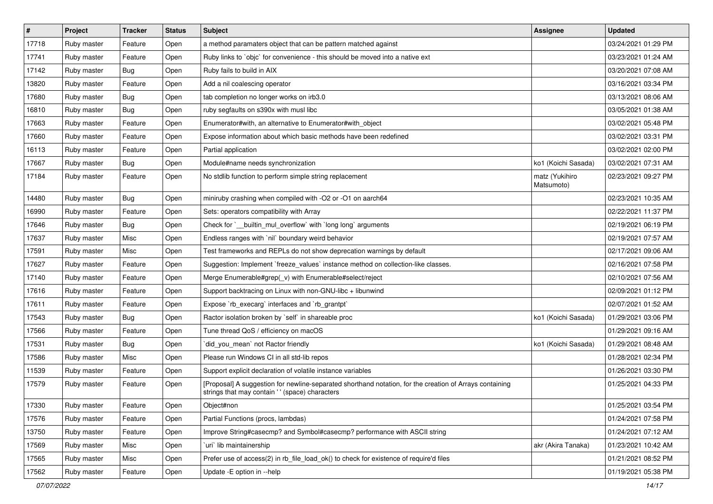| $\vert$ # | Project     | Tracker    | <b>Status</b> | <b>Subject</b>                                                                                                                                             | <b>Assignee</b>              | <b>Updated</b>      |
|-----------|-------------|------------|---------------|------------------------------------------------------------------------------------------------------------------------------------------------------------|------------------------------|---------------------|
| 17718     | Ruby master | Feature    | Open          | a method paramaters object that can be pattern matched against                                                                                             |                              | 03/24/2021 01:29 PM |
| 17741     | Ruby master | Feature    | Open          | Ruby links to `objc` for convenience - this should be moved into a native ext                                                                              |                              | 03/23/2021 01:24 AM |
| 17142     | Ruby master | Bug        | Open          | Ruby fails to build in AIX                                                                                                                                 |                              | 03/20/2021 07:08 AM |
| 13820     | Ruby master | Feature    | Open          | Add a nil coalescing operator                                                                                                                              |                              | 03/16/2021 03:34 PM |
| 17680     | Ruby master | Bug        | Open          | tab completion no longer works on irb3.0                                                                                                                   |                              | 03/13/2021 08:06 AM |
| 16810     | Ruby master | Bug        | Open          | ruby segfaults on s390x with musl libc                                                                                                                     |                              | 03/05/2021 01:38 AM |
| 17663     | Ruby master | Feature    | Open          | Enumerator#with, an alternative to Enumerator#with object                                                                                                  |                              | 03/02/2021 05:48 PM |
| 17660     | Ruby master | Feature    | Open          | Expose information about which basic methods have been redefined                                                                                           |                              | 03/02/2021 03:31 PM |
| 16113     | Ruby master | Feature    | Open          | Partial application                                                                                                                                        |                              | 03/02/2021 02:00 PM |
| 17667     | Ruby master | <b>Bug</b> | Open          | Module#name needs synchronization                                                                                                                          | ko1 (Koichi Sasada)          | 03/02/2021 07:31 AM |
| 17184     | Ruby master | Feature    | Open          | No stdlib function to perform simple string replacement                                                                                                    | matz (Yukihiro<br>Matsumoto) | 02/23/2021 09:27 PM |
| 14480     | Ruby master | Bug        | Open          | miniruby crashing when compiled with -O2 or -O1 on aarch64                                                                                                 |                              | 02/23/2021 10:35 AM |
| 16990     | Ruby master | Feature    | Open          | Sets: operators compatibility with Array                                                                                                                   |                              | 02/22/2021 11:37 PM |
| 17646     | Ruby master | Bug        | Open          | Check for `__builtin_mul_overflow` with `long long` arguments                                                                                              |                              | 02/19/2021 06:19 PM |
| 17637     | Ruby master | Misc       | Open          | Endless ranges with 'nil' boundary weird behavior                                                                                                          |                              | 02/19/2021 07:57 AM |
| 17591     | Ruby master | Misc       | Open          | Test frameworks and REPLs do not show deprecation warnings by default                                                                                      |                              | 02/17/2021 09:06 AM |
| 17627     | Ruby master | Feature    | Open          | Suggestion: Implement `freeze_values` instance method on collection-like classes.                                                                          |                              | 02/16/2021 07:58 PM |
| 17140     | Ruby master | Feature    | Open          | Merge Enumerable#grep(_v) with Enumerable#select/reject                                                                                                    |                              | 02/10/2021 07:56 AM |
| 17616     | Ruby master | Feature    | Open          | Support backtracing on Linux with non-GNU-libc + libunwind                                                                                                 |                              | 02/09/2021 01:12 PM |
| 17611     | Ruby master | Feature    | Open          | Expose `rb_execarg` interfaces and `rb_grantpt`                                                                                                            |                              | 02/07/2021 01:52 AM |
| 17543     | Ruby master | Bug        | Open          | Ractor isolation broken by `self` in shareable proc                                                                                                        | ko1 (Koichi Sasada)          | 01/29/2021 03:06 PM |
| 17566     | Ruby master | Feature    | Open          | Tune thread QoS / efficiency on macOS                                                                                                                      |                              | 01/29/2021 09:16 AM |
| 17531     | Ruby master | Bug        | Open          | did_you_mean` not Ractor friendly                                                                                                                          | ko1 (Koichi Sasada)          | 01/29/2021 08:48 AM |
| 17586     | Ruby master | Misc       | Open          | Please run Windows CI in all std-lib repos                                                                                                                 |                              | 01/28/2021 02:34 PM |
| 11539     | Ruby master | Feature    | Open          | Support explicit declaration of volatile instance variables                                                                                                |                              | 01/26/2021 03:30 PM |
| 17579     | Ruby master | Feature    | Open          | [Proposal] A suggestion for newline-separated shorthand notation, for the creation of Arrays containing<br>strings that may contain ' ' (space) characters |                              | 01/25/2021 04:33 PM |
| 17330     | Ruby master | Feature    | Open          | Object#non                                                                                                                                                 |                              | 01/25/2021 03:54 PM |
| 17576     | Ruby master | Feature    | Open          | Partial Functions (procs, lambdas)                                                                                                                         |                              | 01/24/2021 07:58 PM |
| 13750     | Ruby master | Feature    | Open          | Improve String#casecmp? and Symbol#casecmp? performance with ASCII string                                                                                  |                              | 01/24/2021 07:12 AM |
| 17569     | Ruby master | Misc       | Open          | uri lib maintainership                                                                                                                                     | akr (Akira Tanaka)           | 01/23/2021 10:42 AM |
| 17565     | Ruby master | Misc       | Open          | Prefer use of access(2) in rb file load ok() to check for existence of require'd files                                                                     |                              | 01/21/2021 08:52 PM |
| 17562     | Ruby master | Feature    | Open          | Update - E option in --help                                                                                                                                |                              | 01/19/2021 05:38 PM |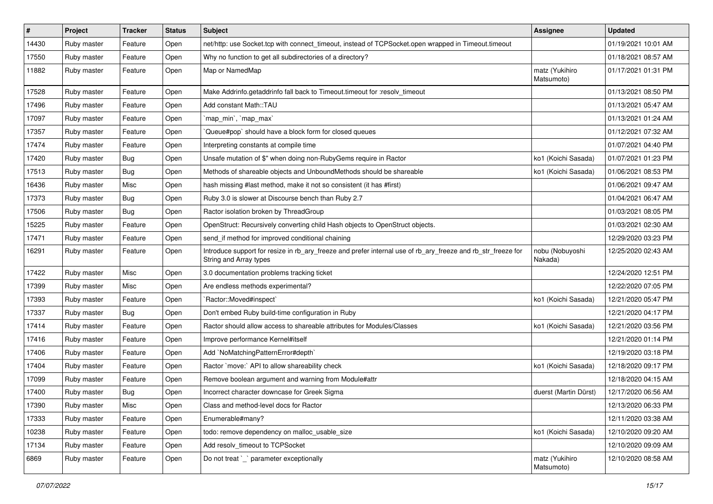| #     | Project     | <b>Tracker</b> | <b>Status</b> | Subject                                                                                                                                | <b>Assignee</b>              | <b>Updated</b>      |
|-------|-------------|----------------|---------------|----------------------------------------------------------------------------------------------------------------------------------------|------------------------------|---------------------|
| 14430 | Ruby master | Feature        | Open          | net/http: use Socket.tcp with connect_timeout, instead of TCPSocket.open wrapped in Timeout.timeout                                    |                              | 01/19/2021 10:01 AM |
| 17550 | Ruby master | Feature        | Open          | Why no function to get all subdirectories of a directory?                                                                              |                              | 01/18/2021 08:57 AM |
| 11882 | Ruby master | Feature        | Open          | Map or NamedMap                                                                                                                        | matz (Yukihiro<br>Matsumoto) | 01/17/2021 01:31 PM |
| 17528 | Ruby master | Feature        | Open          | Make Addrinfo.getaddrinfo fall back to Timeout.timeout for :resolv_timeout                                                             |                              | 01/13/2021 08:50 PM |
| 17496 | Ruby master | Feature        | Open          | Add constant Math::TAU                                                                                                                 |                              | 01/13/2021 05:47 AM |
| 17097 | Ruby master | Feature        | Open          | `map_min`, `map_max`                                                                                                                   |                              | 01/13/2021 01:24 AM |
| 17357 | Ruby master | Feature        | Open          | Queue#pop`should have a block form for closed queues                                                                                   |                              | 01/12/2021 07:32 AM |
| 17474 | Ruby master | Feature        | Open          | Interpreting constants at compile time                                                                                                 |                              | 01/07/2021 04:40 PM |
| 17420 | Ruby master | Bug            | Open          | Unsafe mutation of \$" when doing non-RubyGems require in Ractor                                                                       | ko1 (Koichi Sasada)          | 01/07/2021 01:23 PM |
| 17513 | Ruby master | Bug            | Open          | Methods of shareable objects and UnboundMethods should be shareable                                                                    | ko1 (Koichi Sasada)          | 01/06/2021 08:53 PM |
| 16436 | Ruby master | Misc           | Open          | hash missing #last method, make it not so consistent (it has #first)                                                                   |                              | 01/06/2021 09:47 AM |
| 17373 | Ruby master | Bug            | Open          | Ruby 3.0 is slower at Discourse bench than Ruby 2.7                                                                                    |                              | 01/04/2021 06:47 AM |
| 17506 | Ruby master | <b>Bug</b>     | Open          | Ractor isolation broken by ThreadGroup                                                                                                 |                              | 01/03/2021 08:05 PM |
| 15225 | Ruby master | Feature        | Open          | OpenStruct: Recursively converting child Hash objects to OpenStruct objects.                                                           |                              | 01/03/2021 02:30 AM |
| 17471 | Ruby master | Feature        | Open          | send_if method for improved conditional chaining                                                                                       |                              | 12/29/2020 03:23 PM |
| 16291 | Ruby master | Feature        | Open          | Introduce support for resize in rb_ary_freeze and prefer internal use of rb_ary_freeze and rb_str_freeze for<br>String and Array types | nobu (Nobuyoshi<br>Nakada)   | 12/25/2020 02:43 AM |
| 17422 | Ruby master | Misc           | Open          | 3.0 documentation problems tracking ticket                                                                                             |                              | 12/24/2020 12:51 PM |
| 17399 | Ruby master | Misc           | Open          | Are endless methods experimental?                                                                                                      |                              | 12/22/2020 07:05 PM |
| 17393 | Ruby master | Feature        | Open          | `Ractor::Moved#inspect`                                                                                                                | ko1 (Koichi Sasada)          | 12/21/2020 05:47 PM |
| 17337 | Ruby master | <b>Bug</b>     | Open          | Don't embed Ruby build-time configuration in Ruby                                                                                      |                              | 12/21/2020 04:17 PM |
| 17414 | Ruby master | Feature        | Open          | Ractor should allow access to shareable attributes for Modules/Classes                                                                 | ko1 (Koichi Sasada)          | 12/21/2020 03:56 PM |
| 17416 | Ruby master | Feature        | Open          | Improve performance Kernel#itself                                                                                                      |                              | 12/21/2020 01:14 PM |
| 17406 | Ruby master | Feature        | Open          | Add `NoMatchingPatternError#depth`                                                                                                     |                              | 12/19/2020 03:18 PM |
| 17404 | Ruby master | Feature        | Open          | Ractor `move:` API to allow shareability check                                                                                         | ko1 (Koichi Sasada)          | 12/18/2020 09:17 PM |
| 17099 | Ruby master | Feature        | Open          | Remove boolean argument and warning from Module#attr                                                                                   |                              | 12/18/2020 04:15 AM |
| 17400 | Ruby master | Bug            | Open          | Incorrect character downcase for Greek Sigma                                                                                           | duerst (Martin Dürst)        | 12/17/2020 06:56 AM |
| 17390 | Ruby master | Misc           | Open          | Class and method-level docs for Ractor                                                                                                 |                              | 12/13/2020 06:33 PM |
| 17333 | Ruby master | Feature        | Open          | Enumerable#many?                                                                                                                       |                              | 12/11/2020 03:38 AM |
| 10238 | Ruby master | Feature        | Open          | todo: remove dependency on malloc usable size                                                                                          | ko1 (Koichi Sasada)          | 12/10/2020 09:20 AM |
| 17134 | Ruby master | Feature        | Open          | Add resolv timeout to TCPSocket                                                                                                        |                              | 12/10/2020 09:09 AM |
| 6869  | Ruby master | Feature        | Open          | Do not treat `_` parameter exceptionally                                                                                               | matz (Yukihiro<br>Matsumoto) | 12/10/2020 08:58 AM |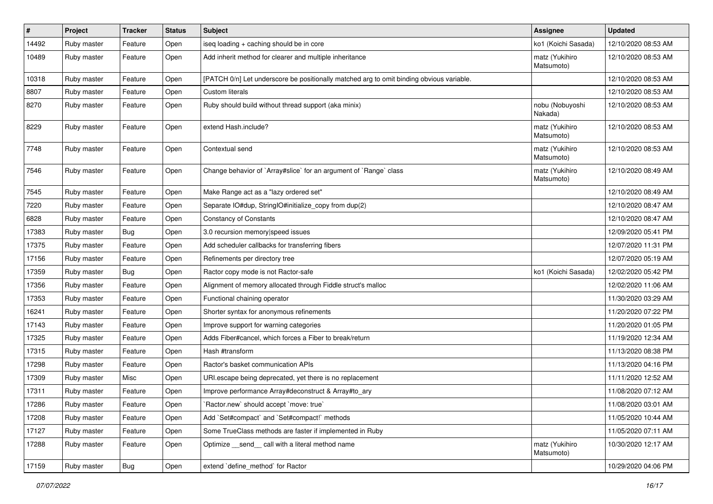| $\vert$ # | Project     | <b>Tracker</b> | <b>Status</b> | Subject                                                                                  | <b>Assignee</b>              | <b>Updated</b>      |
|-----------|-------------|----------------|---------------|------------------------------------------------------------------------------------------|------------------------------|---------------------|
| 14492     | Ruby master | Feature        | Open          | iseq loading + caching should be in core                                                 | ko1 (Koichi Sasada)          | 12/10/2020 08:53 AM |
| 10489     | Ruby master | Feature        | Open          | Add inherit method for clearer and multiple inheritance                                  | matz (Yukihiro<br>Matsumoto) | 12/10/2020 08:53 AM |
| 10318     | Ruby master | Feature        | Open          | [PATCH 0/n] Let underscore be positionally matched arg to omit binding obvious variable. |                              | 12/10/2020 08:53 AM |
| 8807      | Ruby master | Feature        | Open          | Custom literals                                                                          |                              | 12/10/2020 08:53 AM |
| 8270      | Ruby master | Feature        | Open          | Ruby should build without thread support (aka minix)                                     | nobu (Nobuyoshi<br>Nakada)   | 12/10/2020 08:53 AM |
| 8229      | Ruby master | Feature        | Open          | extend Hash.include?                                                                     | matz (Yukihiro<br>Matsumoto) | 12/10/2020 08:53 AM |
| 7748      | Ruby master | Feature        | Open          | Contextual send                                                                          | matz (Yukihiro<br>Matsumoto) | 12/10/2020 08:53 AM |
| 7546      | Ruby master | Feature        | Open          | Change behavior of `Array#slice` for an argument of `Range` class                        | matz (Yukihiro<br>Matsumoto) | 12/10/2020 08:49 AM |
| 7545      | Ruby master | Feature        | Open          | Make Range act as a "lazy ordered set"                                                   |                              | 12/10/2020 08:49 AM |
| 7220      | Ruby master | Feature        | Open          | Separate IO#dup, StringIO#initialize_copy from dup(2)                                    |                              | 12/10/2020 08:47 AM |
| 6828      | Ruby master | Feature        | Open          | <b>Constancy of Constants</b>                                                            |                              | 12/10/2020 08:47 AM |
| 17383     | Ruby master | <b>Bug</b>     | Open          | 3.0 recursion memory speed issues                                                        |                              | 12/09/2020 05:41 PM |
| 17375     | Ruby master | Feature        | Open          | Add scheduler callbacks for transferring fibers                                          |                              | 12/07/2020 11:31 PM |
| 17156     | Ruby master | Feature        | Open          | Refinements per directory tree                                                           |                              | 12/07/2020 05:19 AM |
| 17359     | Ruby master | Bug            | Open          | Ractor copy mode is not Ractor-safe                                                      | ko1 (Koichi Sasada)          | 12/02/2020 05:42 PM |
| 17356     | Ruby master | Feature        | Open          | Alignment of memory allocated through Fiddle struct's malloc                             |                              | 12/02/2020 11:06 AM |
| 17353     | Ruby master | Feature        | Open          | Functional chaining operator                                                             |                              | 11/30/2020 03:29 AM |
| 16241     | Ruby master | Feature        | Open          | Shorter syntax for anonymous refinements                                                 |                              | 11/20/2020 07:22 PM |
| 17143     | Ruby master | Feature        | Open          | Improve support for warning categories                                                   |                              | 11/20/2020 01:05 PM |
| 17325     | Ruby master | Feature        | Open          | Adds Fiber#cancel, which forces a Fiber to break/return                                  |                              | 11/19/2020 12:34 AM |
| 17315     | Ruby master | Feature        | Open          | Hash #transform                                                                          |                              | 11/13/2020 08:38 PM |
| 17298     | Ruby master | Feature        | Open          | Ractor's basket communication APIs                                                       |                              | 11/13/2020 04:16 PM |
| 17309     | Ruby master | Misc           | Open          | URI escape being deprecated, yet there is no replacement                                 |                              | 11/11/2020 12:52 AM |
| 17311     | Ruby master | Feature        | Open          | Improve performance Array#deconstruct & Array#to_ary                                     |                              | 11/08/2020 07:12 AM |
| 17286     | Ruby master | Feature        | Open          | 'Ractor.new' should accept 'move: true'                                                  |                              | 11/08/2020 03:01 AM |
| 17208     | Ruby master | Feature        | Open          | Add `Set#compact` and `Set#compact!` methods                                             |                              | 11/05/2020 10:44 AM |
| 17127     | Ruby master | Feature        | Open          | Some TrueClass methods are faster if implemented in Ruby                                 |                              | 11/05/2020 07:11 AM |
| 17288     | Ruby master | Feature        | Open          | Optimize send call with a literal method name                                            | matz (Yukihiro<br>Matsumoto) | 10/30/2020 12:17 AM |
| 17159     | Ruby master | Bug            | Open          | extend `define_method` for Ractor                                                        |                              | 10/29/2020 04:06 PM |